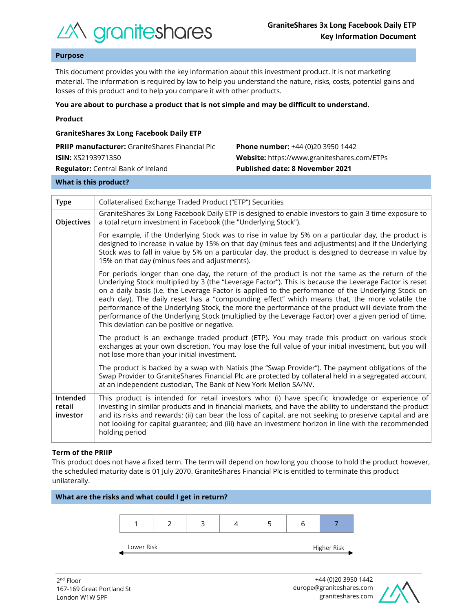

## **Purpose**

This document provides you with the key information about this investment product. It is not marketing material. The information is required by law to help you understand the nature, risks, costs, potential gains and losses of this product and to help you compare it with other products.

#### **You are about to purchase a product that is not simple and may be difficult to understand.**

|  | Product |  |
|--|---------|--|
|  |         |  |

| <b>GraniteShares 3x Long Facebook Daily ETP</b>        |                                             |  |  |  |  |
|--------------------------------------------------------|---------------------------------------------|--|--|--|--|
| <b>PRIIP manufacturer:</b> GraniteShares Financial Plc | <b>Phone number:</b> +44 (0)20 3950 1442    |  |  |  |  |
| <b>ISIN:</b> XS2193971350                              | Website: https://www.graniteshares.com/ETPs |  |  |  |  |
| <b>Regulator:</b> Central Bank of Ireland              | Published date: 8 November 2021             |  |  |  |  |
|                                                        |                                             |  |  |  |  |

#### **What is this product?**

| <b>Type</b>                    | Collateralised Exchange Traded Product ("ETP") Securities                                                                                                                                                                                                                                                                                                                                                                                                                                                                                                                                                                                                                      |  |  |  |
|--------------------------------|--------------------------------------------------------------------------------------------------------------------------------------------------------------------------------------------------------------------------------------------------------------------------------------------------------------------------------------------------------------------------------------------------------------------------------------------------------------------------------------------------------------------------------------------------------------------------------------------------------------------------------------------------------------------------------|--|--|--|
| Objectives                     | GraniteShares 3x Long Facebook Daily ETP is designed to enable investors to gain 3 time exposure to<br>a total return investment in Facebook (the "Underlying Stock").                                                                                                                                                                                                                                                                                                                                                                                                                                                                                                         |  |  |  |
|                                | For example, if the Underlying Stock was to rise in value by 5% on a particular day, the product is<br>designed to increase in value by 15% on that day (minus fees and adjustments) and if the Underlying<br>Stock was to fall in value by 5% on a particular day, the product is designed to decrease in value by<br>15% on that day (minus fees and adjustments).                                                                                                                                                                                                                                                                                                           |  |  |  |
|                                | For periods longer than one day, the return of the product is not the same as the return of the<br>Underlying Stock multiplied by 3 (the "Leverage Factor"). This is because the Leverage Factor is reset<br>on a daily basis (i.e. the Leverage Factor is applied to the performance of the Underlying Stock on<br>each day). The daily reset has a "compounding effect" which means that, the more volatile the<br>performance of the Underlying Stock, the more the performance of the product will deviate from the<br>performance of the Underlying Stock (multiplied by the Leverage Factor) over a given period of time.<br>This deviation can be positive or negative. |  |  |  |
|                                | The product is an exchange traded product (ETP). You may trade this product on various stock<br>exchanges at your own discretion. You may lose the full value of your initial investment, but you will<br>not lose more than your initial investment.                                                                                                                                                                                                                                                                                                                                                                                                                          |  |  |  |
|                                | The product is backed by a swap with Natixis (the "Swap Provider"). The payment obligations of the<br>Swap Provider to GraniteShares Financial Plc are protected by collateral held in a segregated account<br>at an independent custodian, The Bank of New York Mellon SA/NV.                                                                                                                                                                                                                                                                                                                                                                                                 |  |  |  |
| Intended<br>retail<br>investor | This product is intended for retail investors who: (i) have specific knowledge or experience of<br>investing in similar products and in financial markets, and have the ability to understand the product<br>and its risks and rewards; (ii) can bear the loss of capital, are not seeking to preserve capital and are<br>not looking for capital guarantee; and (iii) have an investment horizon in line with the recommended<br>holding period                                                                                                                                                                                                                               |  |  |  |

#### **Term of the PRIIP**

This product does not have a fixed term. The term will depend on how long you choose to hold the product however, the scheduled maturity date is 01 July 2070. GraniteShares Financial Plc is entitled to terminate this product unilaterally.



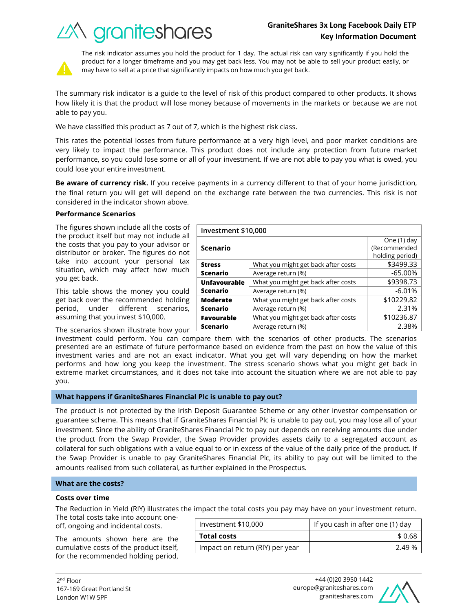# *industry of Crantes*

What you might get back after costs | \$3499.33 Average return (%) and the set of the set of the set of the set of the set of the set of the set of the set of the set of the set of the set of the set of the set of the set of the set of the set of the set of the set of t

What you might get back after costs | \$9398.73 Average return (%) and the set of the set of the set of the set of the set of the set of the set of the set of the set of the set of the set of the set of the set of the set of the set of the set of the set of the set of t

What you might get back after costs | \$10229.82 Average return (%) and the control of the control of the 2.31%



The risk indicator assumes you hold the product for 1 day. The actual risk can vary significantly if you hold the product for a longer timeframe and you may get back less. You may not be able to sell your product easily, or may have to sell at a price that significantly impacts on how much you get back.

The summary risk indicator is a guide to the level of risk of this product compared to other products. It shows how likely it is that the product will lose money because of movements in the markets or because we are not able to pay you.

We have classified this product as 7 out of 7, which is the highest risk class.

This rates the potential losses from future performance at a very high level, and poor market conditions are very likely to impact the performance. This product does not include any protection from future market performance, so you could lose some or all of your investment. If we are not able to pay you what is owed, you could lose your entire investment.

**Be aware of currency risk.** If you receive payments in a currency different to that of your home jurisdiction, the final return you will get will depend on the exchange rate between the two currencies. This risk is not considered in the indicator shown above.

**Investment \$10,000**

**Scenario**

**Unfavourable Scenario**

**Moderate Scenario**

**Stress Scenario**

## **Performance Scenarios**

The figures shown include all the costs of the product itself but may not include all the costs that you pay to your advisor or distributor or broker. The figures do not take into account your personal tax situation, which may affect how much you get back.

This table shows the money you could get back over the recommended holding period, under different scenarios, assuming that you invest \$10,000.

The scenarios shown illustrate how your

investment could perform. You can compare them with the scenarios of other products. The scenarios presented are an estimate of future performance based on evidence from the past on how the value of this investment varies and are not an exact indicator. What you get will vary depending on how the market performs and how long you keep the investment. The stress scenario shows what you might get back in extreme market circumstances, and it does not take into account the situation where we are not able to pay you. **Favourable Scenario** What you might get back after costs  $\vert$  \$10236.87 Average return (%) and the control of the control of the 2.38%

## **What happens if GraniteShares Financial Plc is unable to pay out?**

The product is not protected by the Irish Deposit Guarantee Scheme or any other investor compensation or guarantee scheme. This means that if GraniteShares Financial Plc is unable to pay out, you may lose all of your investment. Since the ability of GraniteShares Financial Plc to pay out depends on receiving amounts due under the product from the Swap Provider, the Swap Provider provides assets daily to a segregated account as collateral for such obligations with a value equal to or in excess of the value of the daily price of the product. If the Swap Provider is unable to pay GraniteShares Financial Plc, its ability to pay out will be limited to the amounts realised from such collateral, as further explained in the Prospectus.

## **What are the costs?**

## **Costs over time**

The Reduction in Yield (RIY) illustrates the impact the total costs you pay may have on your investment return.

The total costs take into account oneoff, ongoing and incidental costs.

The amounts shown here are the cumulative costs of the product itself, for the recommended holding period,

| Investment \$10,000             |  | If you cash in after one (1) day |  |
|---------------------------------|--|----------------------------------|--|
| <b>Total costs</b>              |  | \$0.68                           |  |
| Impact on return (RIY) per year |  | 2.49 %                           |  |



One (1) day (Recommended holding period)